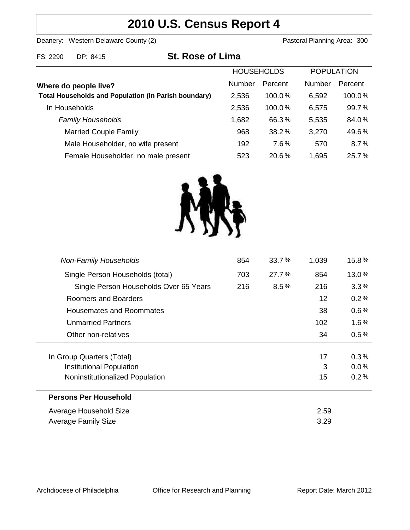# **2010 U.S. Census Report 4**

Deanery: Western Delaware County (2) Deanery: Western Delaware County (2)

| FS: 2290 | DP: 8415 | <b>St. Rose of Lima</b> |
|----------|----------|-------------------------|
|          |          |                         |

|                                                             | <b>HOUSEHOLDS</b> |           | <b>POPULATION</b> |           |
|-------------------------------------------------------------|-------------------|-----------|-------------------|-----------|
| Where do people live?                                       | Number            | Percent   | <b>Number</b>     | Percent   |
| <b>Total Households and Population (in Parish boundary)</b> | 2,536             | $100.0\%$ | 6,592             | $100.0\%$ |
| In Households                                               | 2,536             | $100.0\%$ | 6,575             | 99.7%     |
| <b>Family Households</b>                                    | 1,682             | 66.3%     | 5,535             | 84.0%     |
| <b>Married Couple Family</b>                                | 968               | 38.2%     | 3,270             | 49.6%     |
| Male Householder, no wife present                           | 192               | 7.6%      | 570               | 8.7%      |
| Female Householder, no male present                         | 523               | 20.6%     | 1,695             | 25.7%     |



| <b>Non-Family Households</b>           | 854 | 33.7%   | 1,039 | 15.8%   |
|----------------------------------------|-----|---------|-------|---------|
| Single Person Households (total)       | 703 | 27.7%   | 854   | 13.0%   |
| Single Person Households Over 65 Years | 216 | $8.5\%$ | 216   | 3.3%    |
| Roomers and Boarders                   |     |         | 12    | 0.2%    |
| Housemates and Roommates               |     |         | 38    | $0.6\%$ |
| <b>Unmarried Partners</b>              |     |         | 102   | $1.6\%$ |
| Other non-relatives                    |     |         | 34    | 0.5%    |
|                                        |     |         |       |         |
| In Group Quarters (Total)              |     |         | 17    | 0.3%    |
| Institutional Population               |     |         | 3     | $0.0\%$ |
| Noninstitutionalized Population        |     |         | 15    | 0.2%    |
| <b>Persons Per Household</b>           |     |         |       |         |
| Average Household Size                 |     |         | 2.59  |         |
| <b>Average Family Size</b>             |     |         |       |         |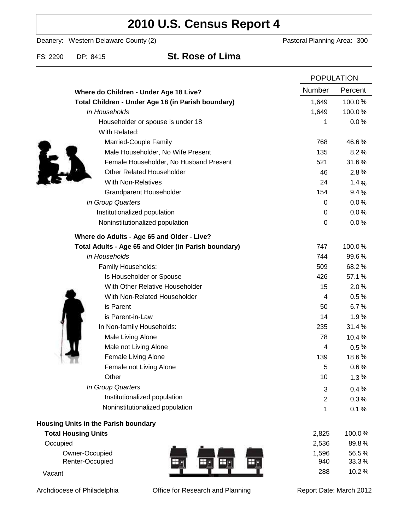# **2010 U.S. Census Report 4**

Deanery: Western Delaware County (2) Deanery: Western Delaware County (2)

## FS: 2290 DP: 8415 **St. Rose of Lima**

|                                                      |                  | <b>POPULATION</b> |  |
|------------------------------------------------------|------------------|-------------------|--|
| Where do Children - Under Age 18 Live?               | Number           | Percent           |  |
| Total Children - Under Age 18 (in Parish boundary)   | 1,649            | 100.0%            |  |
| In Households                                        | 1,649            | 100.0%            |  |
| Householder or spouse is under 18                    | 1                | 0.0%              |  |
| With Related:                                        |                  |                   |  |
| Married-Couple Family                                | 768              | 46.6%             |  |
| Male Householder, No Wife Present                    | 135              | 8.2%              |  |
| Female Householder, No Husband Present               | 521              | 31.6%             |  |
| <b>Other Related Householder</b>                     | 46               | 2.8%              |  |
| <b>With Non-Relatives</b>                            | 24               | 1.4%              |  |
| <b>Grandparent Householder</b>                       | 154              | 9.4%              |  |
| In Group Quarters                                    | 0                | 0.0%              |  |
| Institutionalized population                         | 0                | 0.0%              |  |
| Noninstitutionalized population                      | $\boldsymbol{0}$ | 0.0%              |  |
| Where do Adults - Age 65 and Older - Live?           |                  |                   |  |
| Total Adults - Age 65 and Older (in Parish boundary) | 747              | 100.0%            |  |
| In Households                                        | 744              | 99.6%             |  |
| Family Households:                                   | 509              | 68.2%             |  |
| Is Householder or Spouse                             | 426              | 57.1%             |  |
| With Other Relative Householder                      | 15               | 2.0%              |  |
| With Non-Related Householder                         | 4                | 0.5%              |  |
| is Parent                                            | 50               | 6.7%              |  |
| is Parent-in-Law                                     | 14               | 1.9%              |  |
| In Non-family Households:                            | 235              | 31.4%             |  |
| Male Living Alone                                    | 78               | 10.4%             |  |
| Male not Living Alone                                | 4                | $0.5\%$           |  |
| Female Living Alone                                  | 139              | 18.6%             |  |
| Female not Living Alone                              | 5                | 0.6%              |  |
| Other                                                | 10               | 1.3%              |  |
| In Group Quarters                                    | 3                | 0.4%              |  |
| Institutionalized population                         | 2                | 0.3%              |  |
| Noninstitutionalized population                      | 1                | 0.1%              |  |
| Housing Units in the Parish boundary                 |                  |                   |  |
| <b>Total Housing Units</b>                           | 2,825            | 100.0%            |  |
| Occupied                                             | 2,536            | 89.8%             |  |
| Owner-Occupied                                       | 1,596            | 56.5%             |  |
| Renter-Occupied                                      | 940              | 33.3%             |  |
| Vacant                                               | 288              | 10.2%             |  |

Archdiocese of Philadelphia **Office for Research and Planning** Report Date: March 2012